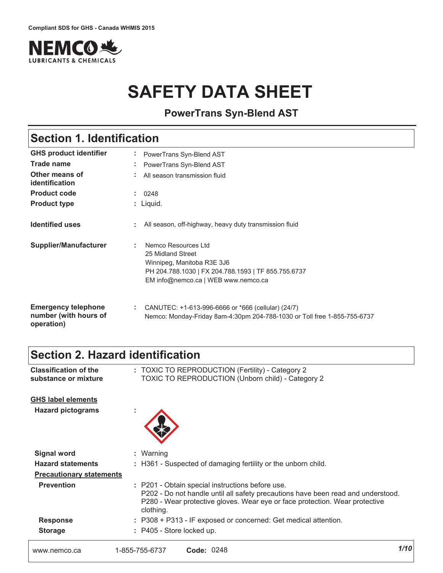

# **SAFETY DATA SHEET**

**PowerTrans Syn-Blend AST**

# **Section 1. Identification**

| <b>GHS product identifier</b>                                     | PowerTrans Syn-Blend AST                                                                                                                                                   |
|-------------------------------------------------------------------|----------------------------------------------------------------------------------------------------------------------------------------------------------------------------|
| Trade name                                                        | PowerTrans Syn-Blend AST<br>$\sim$                                                                                                                                         |
| Other means of<br>identification                                  | All season transmission fluid                                                                                                                                              |
| <b>Product code</b>                                               | 0248                                                                                                                                                                       |
| <b>Product type</b>                                               | : Liquid.                                                                                                                                                                  |
| <b>Identified uses</b>                                            | All season, off-highway, heavy duty transmission fluid                                                                                                                     |
| <b>Supplier/Manufacturer</b>                                      | Nemco Resources Ltd<br>÷.<br>25 Midland Street<br>Winnipeg, Manitoba R3E 3J6<br>PH 204.788.1030   FX 204.788.1593   TF 855.755.6737<br>EM info@nemco.ca   WEB www.nemco.ca |
| <b>Emergency telephone</b><br>number (with hours of<br>operation) | ÷.<br>CANUTEC: +1-613-996-6666 or *666 (cellular) (24/7)<br>Nemco: Monday-Friday 8am-4:30pm 204-788-1030 or Toll free 1-855-755-6737                                       |

# **Section 2. Hazard identification**

| <b>Classification of the</b><br>substance or mixture | : TOXIC TO REPRODUCTION (Fertility) - Category 2<br><b>TOXIC TO REPRODUCTION (Unborn child) - Category 2</b>                                                                                                                     |      |
|------------------------------------------------------|----------------------------------------------------------------------------------------------------------------------------------------------------------------------------------------------------------------------------------|------|
| <b>GHS label elements</b>                            |                                                                                                                                                                                                                                  |      |
| <b>Hazard pictograms</b>                             |                                                                                                                                                                                                                                  |      |
| <b>Signal word</b>                                   | : Warning                                                                                                                                                                                                                        |      |
| <b>Hazard statements</b>                             | : H361 - Suspected of damaging fertility or the unborn child.                                                                                                                                                                    |      |
| <b>Precautionary statements</b>                      |                                                                                                                                                                                                                                  |      |
| <b>Prevention</b>                                    | : P201 - Obtain special instructions before use.<br>P202 - Do not handle until all safety precautions have been read and understood.<br>P280 - Wear protective gloves. Wear eye or face protection. Wear protective<br>clothing. |      |
| <b>Response</b>                                      | : P308 + P313 - IF exposed or concerned: Get medical attention.                                                                                                                                                                  |      |
| <b>Storage</b>                                       | : P405 - Store locked up.                                                                                                                                                                                                        |      |
| www.nemco.ca                                         | Code: 0248<br>1-855-755-6737                                                                                                                                                                                                     | 1/10 |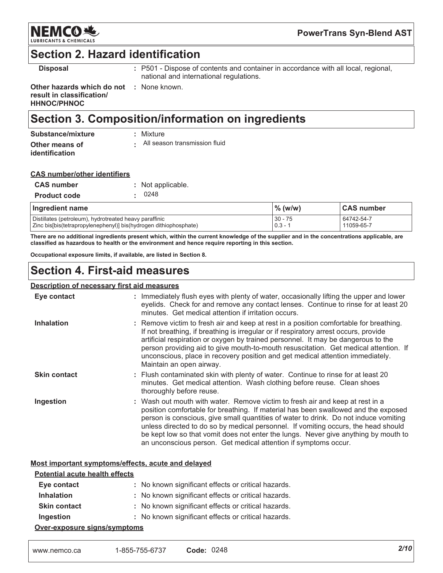

### **Section 2. Hazard identification**

**Disposal** 

: P501 - Dispose of contents and container in accordance with all local, regional, national and international regulations.

Other hazards which do not : None known. result in classification/ **HHNOC/PHNOC** 

# Section 3. Composition/information on ingredients

| Substance/mixture                       | : Mixture                     |
|-----------------------------------------|-------------------------------|
| Other means of<br><b>identification</b> | All season transmission fluid |

| <b>CAS number/other identifiers</b> |  |
|-------------------------------------|--|
|                                     |  |

| <b>CAS number</b>   | : Not applicable. |
|---------------------|-------------------|
| <b>Product code</b> | . 0248            |

| Ingredient name                                                   | $\%$ (w/w) | <b>CAS number</b> |
|-------------------------------------------------------------------|------------|-------------------|
| Distillates (petroleum), hydrotreated heavy paraffinic            | $30 - 75$  | 64742-54-7        |
| Zinc bis[bis(tetrapropylenephenyl)] bis(hydrogen dithiophosphate) | $0.3 - 1$  | 11059-65-7        |

There are no additional ingredients present which, within the current knowledge of the supplier and in the concentrations applicable, are classified as hazardous to health or the environment and hence require reporting in this section.

Occupational exposure limits, if available, are listed in Section 8.

# **Section 4. First-aid measures**

#### **Description of necessary first aid measures**

| Eye contact         | : Immediately flush eyes with plenty of water, occasionally lifting the upper and lower<br>eyelids. Check for and remove any contact lenses. Continue to rinse for at least 20<br>minutes. Get medical attention if irritation occurs.                                                                                                                                                                                                                                                                      |
|---------------------|-------------------------------------------------------------------------------------------------------------------------------------------------------------------------------------------------------------------------------------------------------------------------------------------------------------------------------------------------------------------------------------------------------------------------------------------------------------------------------------------------------------|
| <b>Inhalation</b>   | : Remove victim to fresh air and keep at rest in a position comfortable for breathing.<br>If not breathing, if breathing is irregular or if respiratory arrest occurs, provide<br>artificial respiration or oxygen by trained personnel. It may be dangerous to the<br>person providing aid to give mouth-to-mouth resuscitation. Get medical attention. If<br>unconscious, place in recovery position and get medical attention immediately.<br>Maintain an open airway.                                   |
| <b>Skin contact</b> | : Flush contaminated skin with plenty of water. Continue to rinse for at least 20<br>minutes. Get medical attention. Wash clothing before reuse. Clean shoes<br>thoroughly before reuse.                                                                                                                                                                                                                                                                                                                    |
| Ingestion           | : Wash out mouth with water. Remove victim to fresh air and keep at rest in a<br>position comfortable for breathing. If material has been swallowed and the exposed<br>person is conscious, give small quantities of water to drink. Do not induce vomiting<br>unless directed to do so by medical personnel. If vomiting occurs, the head should<br>be kept low so that vomit does not enter the lungs. Never give anything by mouth to<br>an unconscious person. Get medical attention if symptoms occur. |

#### Most important symptoms/effects, acute and delayed

| <b>Potential acute health effects</b> |                                                     |  |
|---------------------------------------|-----------------------------------------------------|--|
| Eye contact                           | : No known significant effects or critical hazards. |  |
| <b>Inhalation</b>                     | : No known significant effects or critical hazards. |  |
| <b>Skin contact</b>                   | : No known significant effects or critical hazards. |  |
| Ingestion                             | : No known significant effects or critical hazards. |  |
| Over-exposure signs/symptoms          |                                                     |  |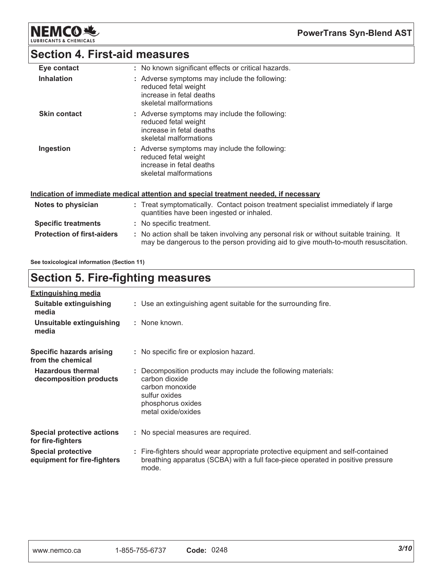**NEMCO头** LUBRIC

**PowerTrans Syn-Blend AST** 

## **Section 4. First-aid measures**

| Eye contact         | : No known significant effects or critical hazards.                                                                         |
|---------------------|-----------------------------------------------------------------------------------------------------------------------------|
| <b>Inhalation</b>   | : Adverse symptoms may include the following:<br>reduced fetal weight<br>increase in fetal deaths<br>skeletal malformations |
| <b>Skin contact</b> | : Adverse symptoms may include the following:<br>reduced fetal weight<br>increase in fetal deaths<br>skeletal malformations |
| Ingestion           | : Adverse symptoms may include the following:<br>reduced fetal weight<br>increase in fetal deaths<br>skeletal malformations |

#### Indication of immediate medical attention and special treatment needed, if necessary

| Notes to physician                | : Treat symptomatically. Contact poison treatment specialist immediately if large<br>quantities have been ingested or inhaled.                                               |
|-----------------------------------|------------------------------------------------------------------------------------------------------------------------------------------------------------------------------|
| <b>Specific treatments</b>        | : No specific treatment.                                                                                                                                                     |
| <b>Protection of first-aiders</b> | : No action shall be taken involving any personal risk or without suitable training. It<br>may be dangerous to the person providing aid to give mouth-to-mouth resuscitation |

See toxicological information (Section 11)

# **Section 5. Fire-fighting measures**

| <b>Extinguishing media</b>                               |                                                                                                                                                                             |
|----------------------------------------------------------|-----------------------------------------------------------------------------------------------------------------------------------------------------------------------------|
| Suitable extinguishing<br>media                          | : Use an extinguishing agent suitable for the surrounding fire.                                                                                                             |
| Unsuitable extinguishing<br>media                        | : None known.                                                                                                                                                               |
| <b>Specific hazards arising</b><br>from the chemical     | : No specific fire or explosion hazard.                                                                                                                                     |
| <b>Hazardous thermal</b><br>decomposition products       | : Decomposition products may include the following materials:<br>carbon dioxide<br>carbon monoxide<br>sulfur oxides<br>phosphorus oxides<br>metal oxide/oxides              |
| Special protective actions<br>for fire-fighters          | : No special measures are required.                                                                                                                                         |
| <b>Special protective</b><br>equipment for fire-fighters | : Fire-fighters should wear appropriate protective equipment and self-contained<br>breathing apparatus (SCBA) with a full face-piece operated in positive pressure<br>mode. |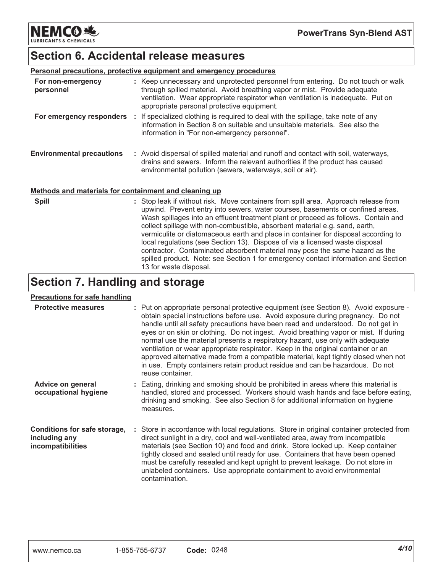**NEMCO 地 LUBRICANTS & CHEMICALS** 

### **Section 6. Accidental release measures**

|                                                       | <b>Personal precautions, protective equipment and emergency procedures</b>                                                                                                                                                                                                                                                                                                                                                                                                                                       |
|-------------------------------------------------------|------------------------------------------------------------------------------------------------------------------------------------------------------------------------------------------------------------------------------------------------------------------------------------------------------------------------------------------------------------------------------------------------------------------------------------------------------------------------------------------------------------------|
| For non-emergency<br>personnel                        | : Keep unnecessary and unprotected personnel from entering. Do not touch or walk<br>through spilled material. Avoid breathing vapor or mist. Provide adequate<br>ventilation. Wear appropriate respirator when ventilation is inadequate. Put on<br>appropriate personal protective equipment.                                                                                                                                                                                                                   |
| For emergency responders :                            | If specialized clothing is required to deal with the spillage, take note of any<br>information in Section 8 on suitable and unsuitable materials. See also the<br>information in "For non-emergency personnel".                                                                                                                                                                                                                                                                                                  |
| <b>Environmental precautions</b>                      | : Avoid dispersal of spilled material and runoff and contact with soil, waterways,<br>drains and sewers. Inform the relevant authorities if the product has caused<br>environmental pollution (sewers, waterways, soil or air).                                                                                                                                                                                                                                                                                  |
| Methods and materials for containment and cleaning up |                                                                                                                                                                                                                                                                                                                                                                                                                                                                                                                  |
| <b>Spill</b>                                          | : Stop leak if without risk. Move containers from spill area. Approach release from<br>upwind. Prevent entry into sewers, water courses, basements or confined areas.<br>Wash spillages into an effluent treatment plant or proceed as follows. Contain and<br>collect spillage with non-combustible, absorbent material e.g. sand, earth,<br>vermiculite or diatomaceous earth and place in container for disposal according to<br>local regulations (see Section 13). Dispose of via a licensed waste disposal |

contractor. Contaminated absorbent material may pose the same hazard as the spilled product. Note: see Section 1 for emergency contact information and Section

# **Section 7. Handling and storage**

13 for waste disposal.

#### **Precautions for safe handling**

| <b>Protective measures</b>                                         | : Put on appropriate personal protective equipment (see Section 8). Avoid exposure -<br>obtain special instructions before use. Avoid exposure during pregnancy. Do not<br>handle until all safety precautions have been read and understood. Do not get in<br>eyes or on skin or clothing. Do not ingest. Avoid breathing vapor or mist. If during<br>normal use the material presents a respiratory hazard, use only with adequate<br>ventilation or wear appropriate respirator. Keep in the original container or an<br>approved alternative made from a compatible material, kept tightly closed when not<br>in use. Empty containers retain product residue and can be hazardous. Do not<br>reuse container. |
|--------------------------------------------------------------------|--------------------------------------------------------------------------------------------------------------------------------------------------------------------------------------------------------------------------------------------------------------------------------------------------------------------------------------------------------------------------------------------------------------------------------------------------------------------------------------------------------------------------------------------------------------------------------------------------------------------------------------------------------------------------------------------------------------------|
| Advice on general<br>occupational hygiene                          | : Eating, drinking and smoking should be prohibited in areas where this material is<br>handled, stored and processed. Workers should wash hands and face before eating,<br>drinking and smoking. See also Section 8 for additional information on hygiene<br>measures.                                                                                                                                                                                                                                                                                                                                                                                                                                             |
| Conditions for safe storage,<br>including any<br>incompatibilities | : Store in accordance with local regulations. Store in original container protected from<br>direct sunlight in a dry, cool and well-ventilated area, away from incompatible<br>materials (see Section 10) and food and drink. Store locked up. Keep container<br>tightly closed and sealed until ready for use. Containers that have been opened<br>must be carefully resealed and kept upright to prevent leakage. Do not store in<br>unlabeled containers. Use appropriate containment to avoid environmental<br>contamination.                                                                                                                                                                                  |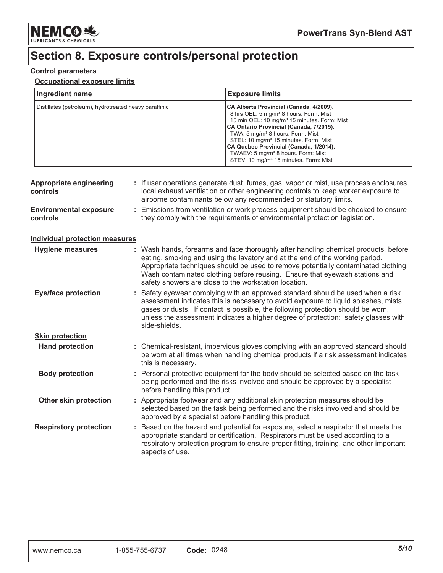

# Section 8. Exposure controls/personal protection

#### **Control parameters**

#### **Occupational exposure limits**

| Ingredient name                                        | <b>Exposure limits</b>                                                                                                                                                                                                                                                                                                                                                                                                                                    |
|--------------------------------------------------------|-----------------------------------------------------------------------------------------------------------------------------------------------------------------------------------------------------------------------------------------------------------------------------------------------------------------------------------------------------------------------------------------------------------------------------------------------------------|
| Distillates (petroleum), hydrotreated heavy paraffinic | CA Alberta Provincial (Canada, 4/2009).<br>8 hrs OEL: 5 mg/m <sup>3</sup> 8 hours. Form: Mist<br>15 min OEL: 10 mg/m <sup>3</sup> 15 minutes. Form: Mist<br>CA Ontario Provincial (Canada, 7/2015).<br>TWA: 5 mg/m <sup>3</sup> 8 hours. Form: Mist<br>STEL: 10 mg/m <sup>3</sup> 15 minutes. Form: Mist<br>CA Quebec Provincial (Canada, 1/2014).<br>TWAEV: 5 mg/m <sup>3</sup> 8 hours. Form: Mist<br>STEV: 10 mg/m <sup>3</sup> 15 minutes. Form: Mist |

| <b>Appropriate engineering</b><br>controls | : If user operations generate dust, fumes, gas, vapor or mist, use process enclosures,<br>local exhaust ventilation or other engineering controls to keep worker exposure to<br>airborne contaminants below any recommended or statutory limits.                                                                                                                                                  |  |
|--------------------------------------------|---------------------------------------------------------------------------------------------------------------------------------------------------------------------------------------------------------------------------------------------------------------------------------------------------------------------------------------------------------------------------------------------------|--|
| <b>Environmental exposure</b><br>controls  | Emissions from ventilation or work process equipment should be checked to ensure<br>they comply with the requirements of environmental protection legislation.                                                                                                                                                                                                                                    |  |
| <b>Individual protection measures</b>      |                                                                                                                                                                                                                                                                                                                                                                                                   |  |
| <b>Hygiene measures</b>                    | : Wash hands, forearms and face thoroughly after handling chemical products, before<br>eating, smoking and using the lavatory and at the end of the working period.<br>Appropriate techniques should be used to remove potentially contaminated clothing.<br>Wash contaminated clothing before reusing. Ensure that eyewash stations and<br>safety showers are close to the workstation location. |  |
| <b>Eye/face protection</b>                 | : Safety eyewear complying with an approved standard should be used when a risk<br>assessment indicates this is necessary to avoid exposure to liquid splashes, mists,<br>gases or dusts. If contact is possible, the following protection should be worn,<br>unless the assessment indicates a higher degree of protection: safety glasses with<br>side-shields.                                 |  |
| <b>Skin protection</b>                     |                                                                                                                                                                                                                                                                                                                                                                                                   |  |
| <b>Hand protection</b>                     | : Chemical-resistant, impervious gloves complying with an approved standard should<br>be worn at all times when handling chemical products if a risk assessment indicates<br>this is necessary.                                                                                                                                                                                                   |  |
| <b>Body protection</b>                     | : Personal protective equipment for the body should be selected based on the task<br>being performed and the risks involved and should be approved by a specialist<br>before handling this product.                                                                                                                                                                                               |  |
| <b>Other skin protection</b>               | : Appropriate footwear and any additional skin protection measures should be<br>selected based on the task being performed and the risks involved and should be<br>approved by a specialist before handling this product.                                                                                                                                                                         |  |
| <b>Respiratory protection</b>              | : Based on the hazard and potential for exposure, select a respirator that meets the<br>appropriate standard or certification. Respirators must be used according to a<br>respiratory protection program to ensure proper fitting, training, and other important<br>aspects of use.                                                                                                               |  |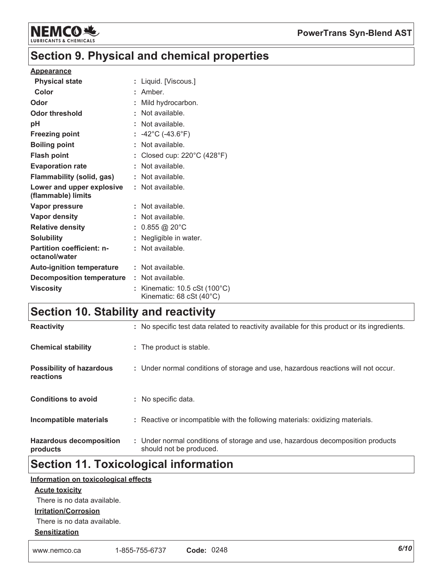

# **Section 9. Physical and chemical properties**

#### **Appearance**

| <b>Physical state</b>                             | : Liquid. [Viscous.]                                                                 |
|---------------------------------------------------|--------------------------------------------------------------------------------------|
| Color                                             | : Amber.                                                                             |
| Odor                                              | Mild hydrocarbon.                                                                    |
| <b>Odor threshold</b>                             | Not available.                                                                       |
| рH                                                | : Not available.                                                                     |
| <b>Freezing point</b>                             | : $-42^{\circ}$ C ( $-43.6^{\circ}$ F)                                               |
| <b>Boiling point</b>                              | Not available.                                                                       |
| <b>Flash point</b>                                | Closed cup: 220°C (428°F)                                                            |
| <b>Evaporation rate</b>                           | : Not available.                                                                     |
| <b>Flammability (solid, gas)</b>                  | : Not available.                                                                     |
| Lower and upper explosive<br>(flammable) limits   | : Not available.                                                                     |
| <b>Vapor pressure</b>                             | : Not available.                                                                     |
| <b>Vapor density</b>                              | : Not available.                                                                     |
| <b>Relative density</b>                           | : $0.855 \textcircled{20}^{\circ}$ C                                                 |
| <b>Solubility</b>                                 | Negligible in water.                                                                 |
| <b>Partition coefficient: n-</b><br>octanol/water | : Not available.                                                                     |
| <b>Auto-ignition temperature</b>                  | : Not available.                                                                     |
| <b>Decomposition temperature</b>                  | : Not available.                                                                     |
| <b>Viscosity</b>                                  | Kinematic: $10.5 \text{ cSt}$ ( $100^{\circ} \text{C}$ )<br>Kinematic: 68 cSt (40°C) |

# **Section 10. Stability and reactivity**

| <b>Reactivity</b>                            | : No specific test data related to reactivity available for this product or its ingredients.              |
|----------------------------------------------|-----------------------------------------------------------------------------------------------------------|
| <b>Chemical stability</b>                    | : The product is stable.                                                                                  |
| <b>Possibility of hazardous</b><br>reactions | : Under normal conditions of storage and use, hazardous reactions will not occur.                         |
| <b>Conditions to avoid</b>                   | : No specific data.                                                                                       |
| Incompatible materials                       | : Reactive or incompatible with the following materials: oxidizing materials.                             |
| <b>Hazardous decomposition</b><br>products   | : Under normal conditions of storage and use, hazardous decomposition products<br>should not be produced. |

# **Section 11. Toxicological information**

#### Information on toxicological effects

#### **Acute toxicity**

There is no data available.

#### **Irritation/Corrosion**

There is no data available.

#### **Sensitization**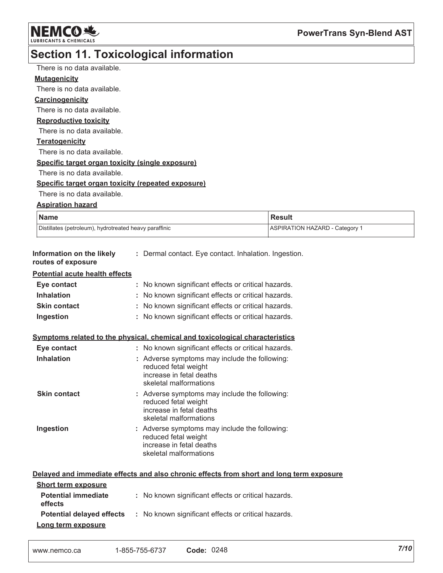

# Section 11. Toxicological information

| There is no data available.                            |                                                                                          |                                |  |
|--------------------------------------------------------|------------------------------------------------------------------------------------------|--------------------------------|--|
| <b>Mutagenicity</b>                                    |                                                                                          |                                |  |
| There is no data available.                            |                                                                                          |                                |  |
| Carcinogenicity                                        |                                                                                          |                                |  |
| There is no data available.                            |                                                                                          |                                |  |
| <b>Reproductive toxicity</b>                           |                                                                                          |                                |  |
| There is no data available.                            |                                                                                          |                                |  |
| <b>Teratogenicity</b>                                  |                                                                                          |                                |  |
| There is no data available.                            |                                                                                          |                                |  |
| Specific target organ toxicity (single exposure)       |                                                                                          |                                |  |
| There is no data available.                            |                                                                                          |                                |  |
| Specific target organ toxicity (repeated exposure)     |                                                                                          |                                |  |
| There is no data available.                            |                                                                                          |                                |  |
| <b>Aspiration hazard</b>                               |                                                                                          |                                |  |
| <b>Name</b>                                            |                                                                                          | <b>Result</b>                  |  |
| Distillates (petroleum), hydrotreated heavy paraffinic |                                                                                          | ASPIRATION HAZARD - Category 1 |  |
|                                                        |                                                                                          |                                |  |
| Information on the likely<br>routes of exposure        | : Dermal contact. Eye contact. Inhalation. Ingestion.                                    |                                |  |
| <b>Potential acute health effects</b>                  |                                                                                          |                                |  |
| Eye contact                                            | : No known significant effects or critical hazards.                                      |                                |  |
| <b>Inhalation</b>                                      | : No known significant effects or critical hazards.                                      |                                |  |
| <b>Skin contact</b>                                    | : No known significant effects or critical hazards.                                      |                                |  |
| Ingestion                                              | : No known significant effects or critical hazards.                                      |                                |  |
|                                                        |                                                                                          |                                |  |
|                                                        | Symptoms related to the physical, chemical and toxicological characteristics             |                                |  |
| Eye contact                                            | : No known significant effects or critical hazards.                                      |                                |  |
| <b>Inhalation</b>                                      | : Adverse symptoms may include the following:                                            |                                |  |
|                                                        | reduced fetal weight                                                                     |                                |  |
|                                                        | increase in fetal deaths<br>skeletal malformations                                       |                                |  |
| <b>Skin contact</b>                                    | : Adverse symptoms may include the following:                                            |                                |  |
|                                                        | reduced fetal weight                                                                     |                                |  |
|                                                        | increase in fetal deaths                                                                 |                                |  |
|                                                        | skeletal malformations                                                                   |                                |  |
| Ingestion                                              | : Adverse symptoms may include the following:<br>reduced fetal weight                    |                                |  |
|                                                        | increase in fetal deaths                                                                 |                                |  |
|                                                        | skeletal malformations                                                                   |                                |  |
|                                                        |                                                                                          |                                |  |
|                                                        | Delayed and immediate effects and also chronic effects from short and long term exposure |                                |  |
| <b>Short term exposure</b>                             |                                                                                          |                                |  |
| <b>Potential immediate</b>                             | : No known significant effects or critical hazards.                                      |                                |  |
| effects                                                |                                                                                          |                                |  |
| <b>Potential delayed effects</b>                       | : No known significant effects or critical hazards.                                      |                                |  |
| Long term exposure                                     |                                                                                          |                                |  |

| www.nemco.ca | 1-855-755-6737 | Code: 0248 |
|--------------|----------------|------------|
|--------------|----------------|------------|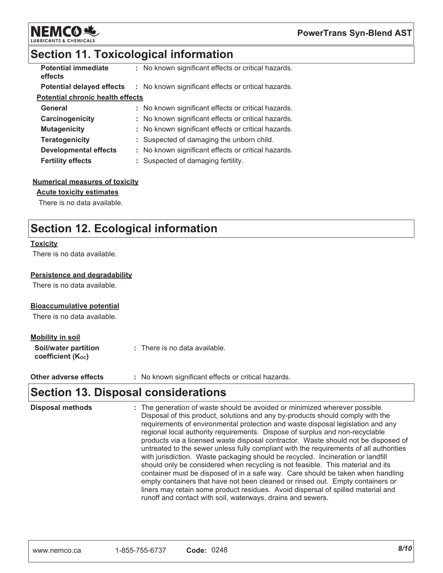

# Section 11. Toxicological information

| <b>Potential immediate</b><br>effects   | : No known significant effects or critical hazards. |
|-----------------------------------------|-----------------------------------------------------|
| <b>Potential delayed effects</b>        | : No known significant effects or critical hazards. |
| <b>Potential chronic health effects</b> |                                                     |
| General                                 | : No known significant effects or critical hazards. |
| Carcinogenicity                         | : No known significant effects or critical hazards. |
| <b>Mutagenicity</b>                     | : No known significant effects or critical hazards. |
| <b>Teratogenicity</b>                   | : Suspected of damaging the unborn child.           |
| <b>Developmental effects</b>            | : No known significant effects or critical hazards. |
| <b>Fertility effects</b>                | Suspected of damaging fertility.                    |

#### **Numerical measures of toxicity**

#### **Acute toxicity estimates**

There is no data available.

# **Section 12. Ecological information**

#### **Toxicity**

There is no data available.

#### **Persistence and degradability**

There is no data available.

#### **Bioaccumulative potential**

There is no data available.

#### **Mobility in soil**

| Soil/water partition   | : There is no data available. |
|------------------------|-------------------------------|
| coefficient $(K_{oc})$ |                               |

: No known significant effects or critical hazards. Other adverse effects

### **Section 13. Disposal considerations**

| <b>Disposal methods</b> | : The generation of waste should be avoided or minimized wherever possible.<br>Disposal of this product, solutions and any by-products should comply with the<br>requirements of environmental protection and waste disposal legislation and any<br>regional local authority requirements. Dispose of surplus and non-recyclable<br>products via a licensed waste disposal contractor. Waste should not be disposed of<br>untreated to the sewer unless fully compliant with the requirements of all authorities<br>with jurisdiction. Waste packaging should be recycled. Incineration or landfill<br>should only be considered when recycling is not feasible. This material and its<br>container must be disposed of in a safe way. Care should be taken when handling<br>empty containers that have not been cleaned or rinsed out. Empty containers or |
|-------------------------|-------------------------------------------------------------------------------------------------------------------------------------------------------------------------------------------------------------------------------------------------------------------------------------------------------------------------------------------------------------------------------------------------------------------------------------------------------------------------------------------------------------------------------------------------------------------------------------------------------------------------------------------------------------------------------------------------------------------------------------------------------------------------------------------------------------------------------------------------------------|
|                         | liners may retain some product residues. Avoid dispersal of spilled material and<br>runoff and contact with soil, waterways, drains and sewers.                                                                                                                                                                                                                                                                                                                                                                                                                                                                                                                                                                                                                                                                                                             |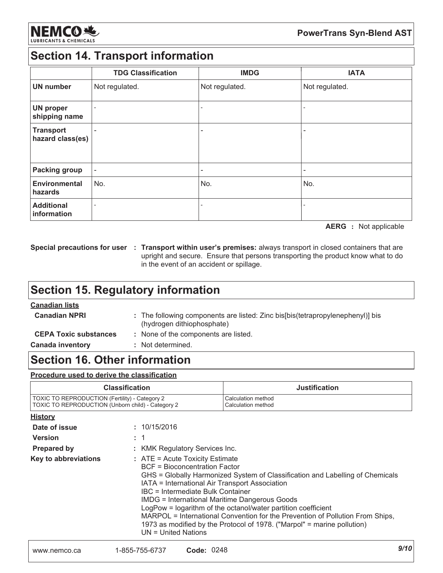

### **Section 14. Transport information**

|                                      | <b>TDG Classification</b> | <b>IMDG</b>              | <b>IATA</b>    |
|--------------------------------------|---------------------------|--------------------------|----------------|
| <b>UN number</b>                     | Not regulated.            | Not regulated.           | Not regulated. |
| <b>UN proper</b><br>shipping name    | ۰                         | $\overline{\phantom{0}}$ |                |
| <b>Transport</b><br>hazard class(es) |                           | $\overline{\phantom{a}}$ |                |
| <b>Packing group</b>                 |                           | ٠                        |                |
| <b>Environmental</b><br>hazards      | No.                       | No.                      | No.            |
| <b>Additional</b><br>information     |                           |                          |                |

**AERG** : Not applicable

Special precautions for user : Transport within user's premises: always transport in closed containers that are upright and secure. Ensure that persons transporting the product know what to do in the event of an accident or spillage.

# **Section 15. Regulatory information**

#### **Canadian lists**

**Canadian NPRI** : The following components are listed: Zinc bis[bis(tetrapropylenephenyl)] bis (hydrogen dithiophosphate)

: None of the components are listed. **CEPA Toxic substances** 

**Canada inventory** : Not determined.

### **Section 16. Other information**

#### Procedure used to derive the classification

| <b>Classification</b>                             | <b>Justification</b> |
|---------------------------------------------------|----------------------|
| TOXIC TO REPRODUCTION (Fertility) - Category 2    | Calculation method   |
| TOXIC TO REPRODUCTION (Unborn child) - Category 2 | Calculation method   |

| <u>History</u>       |                                                                                                                                                                                                                                                                                                                                                                                                                                                                                                                                                          |
|----------------------|----------------------------------------------------------------------------------------------------------------------------------------------------------------------------------------------------------------------------------------------------------------------------------------------------------------------------------------------------------------------------------------------------------------------------------------------------------------------------------------------------------------------------------------------------------|
| Date of issue        | : 10/15/2016                                                                                                                                                                                                                                                                                                                                                                                                                                                                                                                                             |
| <b>Version</b>       | : 1                                                                                                                                                                                                                                                                                                                                                                                                                                                                                                                                                      |
| <b>Prepared by</b>   | : KMK Regulatory Services Inc.                                                                                                                                                                                                                                                                                                                                                                                                                                                                                                                           |
| Key to abbreviations | $:$ ATE = Acute Toxicity Estimate<br>BCF = Bioconcentration Factor<br>GHS = Globally Harmonized System of Classification and Labelling of Chemicals<br>IATA = International Air Transport Association<br>IBC = Intermediate Bulk Container<br><b>IMDG = International Maritime Dangerous Goods</b><br>LogPow = logarithm of the octanol/water partition coefficient<br>MARPOL = International Convention for the Prevention of Pollution From Ships,<br>1973 as modified by the Protocol of 1978. ("Marpol" = marine pollution)<br>$UN = United Nations$ |
|                      |                                                                                                                                                                                                                                                                                                                                                                                                                                                                                                                                                          |